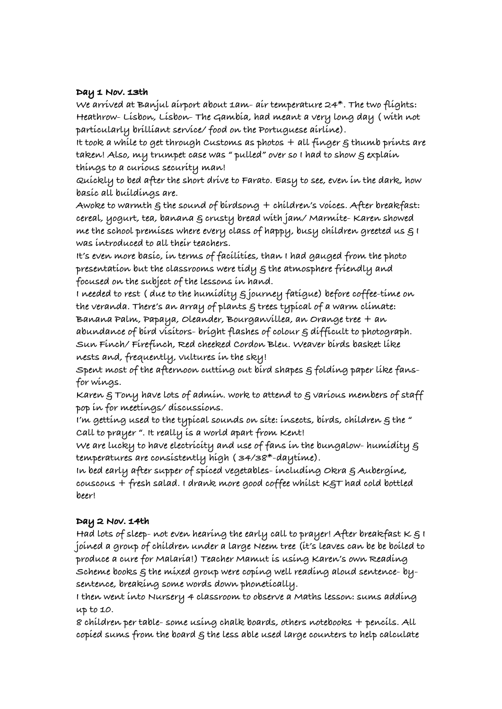### **Day 1 Nov. 13th**

**We arrived at Banjul airport about 1am- air temperature 24\*. The two flights: Heathrow- Lisbon, Lisbon- The Gambia, had meant a very long day ( with not particularly brilliant service/ food on the Portuguese airline).**

**It took a while to get through Customs as photos + all finger & thumb prints are taken! Also, my trumpet case was " pulled" over so I had to show & explain things to a curious security man!**

**Quickly to bed after the short drive to Farato. Easy to see, even in the dark, how basic all buildings are.**

**Awoke to warmth & the sound of birdsong + children's voices. After breakfast: cereal, yogurt, tea, banana & crusty bread with jam/ Marmite- Karen showed me the school premises where every class of happy, busy children greeted us & I was introduced to all their teachers.**

**It's even more basic, in terms of facilities, than I had gauged from the photo presentation but the classrooms were tidy & the atmosphere friendly and focused on the subject of the lessons in hand.**

**I needed to rest ( due to the humidity & journey fatigue) before coffee-time on the veranda. There's an array of plants & trees typical of a warm climate: Banana Palm, Papaya, Oleander, Bourganvillea, an Orange tree + an abundance of bird visitors- bright flashes of colour & difficult to photograph. Sun Finch/ Firefinch, Red cheeked Cordon Bleu. Weaver birds basket like nests and, frequently, vultures in the sky!**

**Spent most of the afternoon cutting out bird shapes & folding paper like fansfor wings.**

**Karen & Tony have lots of admin. work to attend to & various members of staff pop in for meetings/ discussions.**

**I'm getting used to the typical sounds on site: insects, birds, children & the " Call to prayer ". It really is a world apart from Kent!**

**We are lucky to have electricity and use of fans in the bungalow- humidity & temperatures are consistently high ( 34/38\*-daytime).**

**In bed early after supper of spiced vegetables- including Okra & Aubergine, couscous + fresh salad. I drank more good coffee whilst K&T had cold bottled beer!**

## **Day 2 Nov. 14th**

**Had lots of sleep- not even hearing the early call to prayer! After breakfast K & I joined a group of children under a large Neem tree (it's leaves can be be boiled to produce a cure for Malaria!) Teacher Mamut is using Karen's own Reading Scheme books & the mixed group were coping well reading aloud sentence- bysentence, breaking some words down phonetically.**

**I then went into Nursery 4 classroom to observe a Maths lesson: sums adding up to 10.**

**8 children per table- some using chalk boards, others notebooks + pencils. All copied sums from the board & the less able used large counters to help calculate**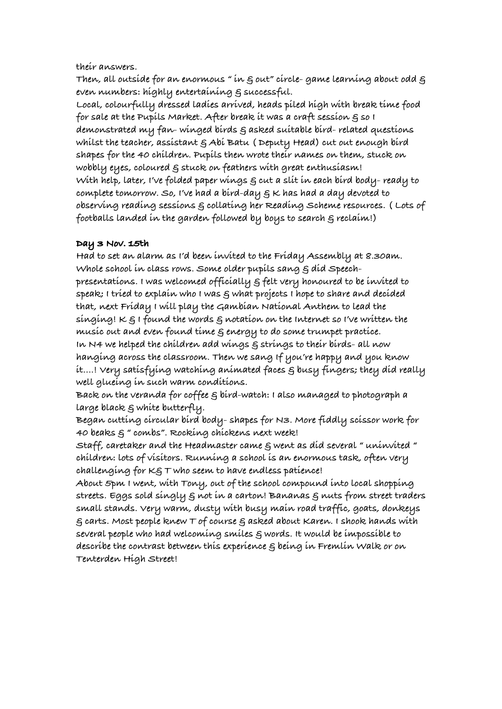**their answers.**

**Then, all outside for an enormous " in & out" circle- game learning about odd & even numbers: highly entertaining & successful.**

**Local, colourfully dressed ladies arrived, heads piled high with break time food for sale at the Pupils Market. After break it was a craft session & so I demonstrated my fan- winged birds & asked suitable bird- related questions whilst the teacher, assistant & Abi Batu ( Deputy Head) cut out enough bird shapes for the 40 children. Pupils then wrote their names on them, stuck on wobbly eyes, coloured & stuck on feathers with great enthusiasm! With help, later, I've folded paper wings & cut a slit in each bird body- ready to complete tomorrow. So, I've had a bird-day & K has had a day devoted to observing reading sessions & collating her Reading Scheme resources. ( Lots of footballs landed in the garden followed by boys to search & reclaim!)**

## **Day 3 Nov. 15th**

**Had to set an alarm as I'd been invited to the Friday Assembly at 8.30am. Whole school in class rows. Some older pupils sang & did Speechpresentations. I was welcomed officially & felt very honoured to be invited to speak; I tried to explain who I was & what projects I hope to share and decided that, next Friday I will play the Gambian National Anthem to lead the singing! K & I found the words & notation on the Internet so I've written the music out and even found time & energy to do some trumpet practice. In N4 we helped the children add wings & strings to their birds- all now hanging across the classroom. Then we sang If you're happy and you know it....! Very satisfying watching animated faces & busy fingers; they did really well glueing in such warm conditions.**

**Back on the veranda for coffee & bird-watch: I also managed to photograph a large black & white butterfly.**

**Began cutting circular bird body- shapes for N3. More fiddly scissor work for 40 beaks & " combs". Rocking chickens next week!**

**Staff, caretaker and the Headmaster came & went as did several " uninvited " children: lots of visitors. Running a school is an enormous task, often very challenging for K& T who seem to have endless patience!**

**About 5pm I went, with Tony, out of the school compound into local shopping streets. Eggs sold singly & not in a carton! Bananas & nuts from street traders small stands. Very warm, dusty with busy main road traffic, goats, donkeys & carts. Most people knew T of course & asked about Karen. I shook hands with several people who had welcoming smiles & words. It would be impossible to describe the contrast between this experience & being in Fremlin Walk or on Tenterden High Street!**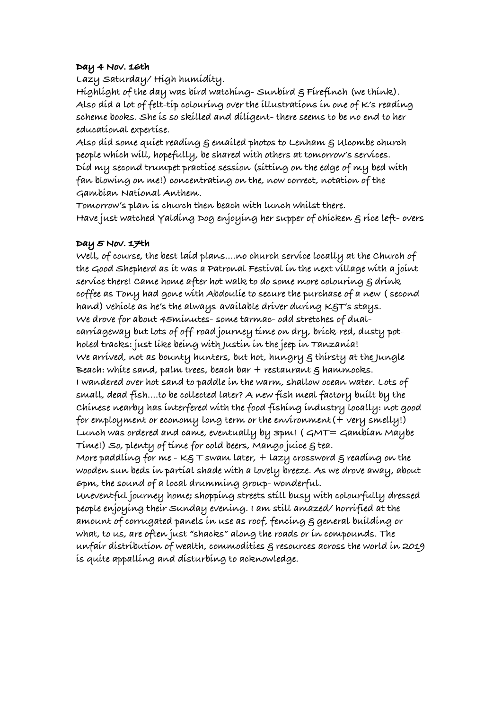## **Day 4 Nov. 16th**

**Lazy Saturday/ High humidity.**

**Highlight of the day was bird watching- Sunbird & Firefinch (we think). Also did a lot of felt-tip colouring over the illustrations in one of K's reading scheme books. She is so skilled and diligent- there seems to be no end to her educational expertise.**

**Also did some quiet reading & emailed photos to Lenham & Ulcombe church people which will, hopefully, be shared with others at tomorrow's services. Did my second trumpet practice session (sitting on the edge of my bed with fan blowing on me!) concentrating on the, now correct, notation of the Gambian National Anthem.**

**Tomorrow's plan is church then beach with lunch whilst there. Have just watched Yalding Dog enjoying her supper of chicken & rice left- overs**

## **Day 5 Nov. 17th**

**Well, of course, the best laid plans....no church service locally at the Church of the Good Shepherd as it was a Patronal Festival in the next village with a joint service there! Came home after hot walk to do some more colouring & drink coffee as Tony had gone with Abdoulie to secure the purchase of a new ( second hand) vehicle as he's the always-available driver during K&T's stays. We drove for about 45minutes- some tarmac- odd stretches of dualcarriageway but lots of off-road journey time on dry, brick-red, dusty potholed tracks: just like being with Justin in the jeep in Tanzania! We arrived, not as bounty hunters, but hot, hungry & thirsty at the Jungle Beach: white sand, palm trees, beach bar + restaurant & hammocks. I wandered over hot sand to paddle in the warm, shallow ocean water. Lots of small, dead fish....to be collected later? A new fish meal factory built by the Chinese nearby has interfered with the food fishing industry locally: not good for employment or economy long term or the environment(+ very smelly!) Lunch was ordered and came, eventually by 3pm! ( GMT= Gambian Maybe Time!) So, plenty of time for cold beers, Mango juice & tea.**

**More paddling for me - K& T swam later, + lazy crossword & reading on the wooden sun beds in partial shade with a lovely breeze. As we drove away, about 6pm, the sound of a local drumming group- wonderful.**

**Uneventful journey home; shopping streets still busy with colourfully dressed people enjoying their Sunday evening. I am still amazed/ horrified at the amount of corrugated panels in use as roof, fencing & general building or what, to us, are often just "shacks" along the roads or in compounds. The unfair distribution of wealth, commodities & resources across the world in 2019 is quite appalling and disturbing to acknowledge.**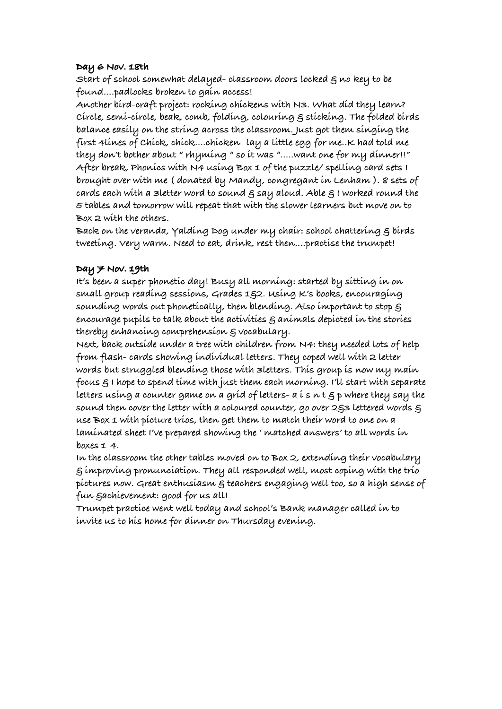#### **Day 6 Nov. 18th**

**Start of school somewhat delayed- classroom doors locked & no key to be found....padlocks broken to gain access!**

**Another bird-craft project: rocking chickens with N3. What did they learn? Circle, semi-circle, beak, comb, folding, colouring & sticking. The folded birds balance easily on the string across the classroom. Just got them singing the first 4lines of Chick, chick....chicken- lay a little egg for me..K had told me they don't bother about " rhyming " so it was ".....want one for my dinner!!" After break, Phonics with N4 using Box 1 of the puzzle/ spelling card sets I brought over with me ( donated by Mandy, congregant in Lenham ). 8 sets of cards each with a 3letter word to sound & say aloud. Able & I worked round the 5 tables and tomorrow will repeat that with the slower learners but move on to Box 2 with the others.**

**Back on the veranda, Yalding Dog under my chair: school chattering & birds tweeting. Very warm. Need to eat, drink, rest then....practise the trumpet!**

## **Day 7 Nov. 19th**

**It's been a super-phonetic day! Busy all morning: started by sitting in on small group reading sessions, Grades 1&2. Using K's books, encouraging sounding words out phonetically, then blending. Also important to stop & encourage pupils to talk about the activities & animals depicted in the stories thereby enhancing comprehension & vocabulary.**

**Next, back outside under a tree with children from N4: they needed lots of help from flash- cards showing individual letters. They coped well with 2 letter words but struggled blending those with 3letters. This group is now my main focus & I hope to spend time with just them each morning. I'll start with separate letters using a counter game on a grid of letters- a i s n t & p where they say the sound then cover the letter with a coloured counter, go over 2&3 lettered words & use Box 1 with picture trios, then get them to match their word to one on a laminated sheet I've prepared showing the ' matched answers' to all words in boxes 1-4.**

**In the classroom the other tables moved on to Box 2, extending their vocabulary & improving pronunciation. They all responded well, most coping with the triopictures now. Great enthusiasm & teachers engaging well too, so a high sense of fun &achievement: good for us all!**

**Trumpet practice went well today and school's Bank manager called in to invite us to his home for dinner on Thursday evening.**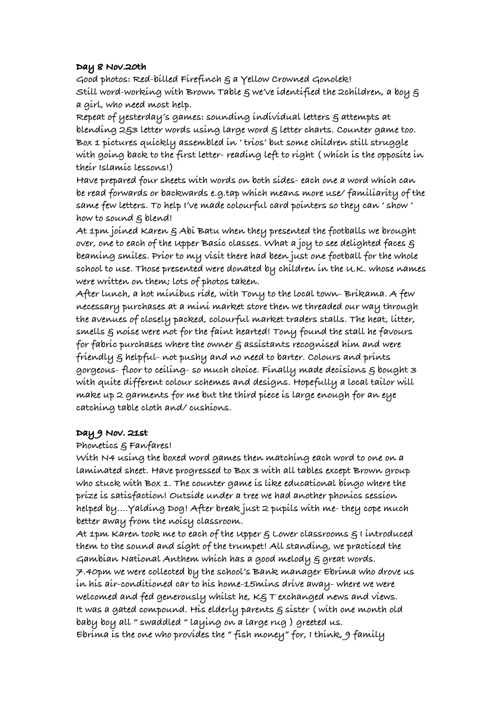## **Day 8 Nov.20th**

**Good photos: Red-billed Firefinch & a Yellow Crowned Gonolek! Still word-working with Brown Table & we've identified the 2children, a boy & a girl, who need most help.**

**Repeat of yesterday's games: sounding individual letters & attempts at blending 2&3 letter words using large word & letter charts. Counter game too. Box 1 pictures quickly assembled in ' trios' but some children still struggle with going back to the first letter- reading left to right ( which is the opposite in their Islamic lessons!)**

**Have prepared four sheets with words on both sides- each one a word which can be read forwards or backwards e.g.tap which means more use/ familiarity of the same few letters. To help I've made colourful card pointers so they can ' show ' how to sound & blend!**

**At 1pm joined Karen & Abi Batu when they presented the footballs we brought over, one to each of the Upper Basic classes. What a joy to see delighted faces & beaming smiles. Prior to my visit there had been just one football for the whole school to use. Those presented were donated by children in the U.K. whose names were written on them; lots of photos taken.**

**After lunch, a hot minibus ride, with Tony to the local town- Brikama. A few necessary purchases at a mini market store then we threaded our way through the avenues of closely packed, colourful market traders stalls. The heat, litter, smells & noise were not for the faint hearted! Tony found the stall he favours for fabric purchases where the owner & assistants recognised him and were friendly & helpful- not pushy and no need to barter. Colours and prints gorgeous- floor to ceiling- so much choice. Finally made decisions & bought 3 with quite different colour schemes and designs. Hopefully a local tailor will make up 2 garments for me but the third piece is large enough for an eye catching table cloth and/ cushions.**

## **Day 9 Nov. 21st**

## **Phonetics & Fanfares!**

**With N4 using the boxed word games then matching each word to one on a laminated sheet. Have progressed to Box 3 with all tables except Brown group who stuck with Box 1. The counter game is like educational bingo where the prize is satisfaction! Outside under a tree we had another phonics session helped by....Yalding Dog! After break just 2 pupils with me- they cope much better away from the noisy classroom.**

**At 1pm Karen took me to each of the Upper & Lower classrooms & I introduced them to the sound and sight of the trumpet! All standing, we practiced the Gambian National Anthem which has a good melody & great words. 7.40pm we were collected by the school's Bank manager Ebrima who drove us in his air-conditioned car to his home-15mins drive away- where we were welcomed and fed generously whilst he, K& T exchanged news and views. It was a gated compound. His elderly parents & sister ( with one month old baby boy all " swaddled " laying on a large rug ) greeted us. Ebrima is the one who provides the " fish money" for, I think, 9 family**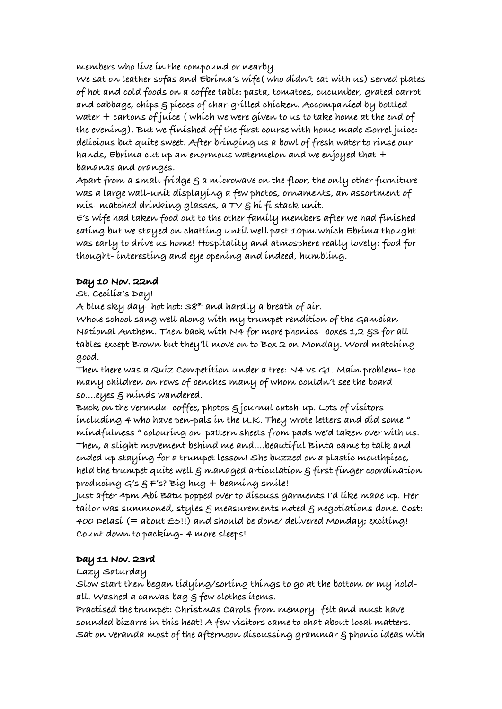**members who live in the compound or nearby.**

**We sat on leather sofas and Ebrima's wife( who didn't eat with us) served plates of hot and cold foods on a coffee table: pasta, tomatoes, cucumber, grated carrot and cabbage, chips & pieces of char-grilled chicken. Accompanied by bottled water + cartons of juice ( which we were given to us to take home at the end of the evening). But we finished off the first course with home made Sorrel juice: delicious but quite sweet. After bringing us a bowl of fresh water to rinse our hands, Ebrima cut up an enormous watermelon and we enjoyed that + bananas and oranges.**

**Apart from a small fridge & a microwave on the floor, the only other furniture was a large wall-unit displaying a few photos, ornaments, an assortment of mis- matched drinking glasses, a TV & hi fi stack unit.**

**E's wife had taken food out to the other family members after we had finished eating but we stayed on chatting until well past 10pm which Ebrima thought was early to drive us home! Hospitality and atmosphere really lovely: food for thought- interesting and eye opening and indeed, humbling.**

# **Day 10 Nov. 22nd**

**St. Cecilia's Day!**

**A blue sky day- hot hot: 38\* and hardly a breath of air.**

**Whole school sang well along with my trumpet rendition of the Gambian National Anthem. Then back with N4 for more phonics- boxes 1,2 &3 for all tables except Brown but they'll move on to Box 2 on Monday. Word matching good.**

**Then there was a Quiz Competition under a tree: N4 vs G1. Main problem- too many children on rows of benches many of whom couldn't see the board so....eyes & minds wandered.**

**Back on the veranda- coffee, photos & journal catch-up. Lots of visitors including 4 who have pen-pals in the U.K. They wrote letters and did some " mindfulness " colouring on pattern sheets from pads we'd taken over with us. Then, a slight movement behind me and....beautiful Binta came to talk and ended up staying for a trumpet lesson! She buzzed on a plastic mouthpiece, held the trumpet quite well & managed articulation & first finger coordination producing G's & F's? Big hug + beaming smile!**

**Just after 4pm Abi Batu popped over to discuss garments I'd like made up. Her tailor was summoned, styles & measurements noted & negotiations done. Cost: 400 Delasi (= about £5!!) and should be done/ delivered Monday; exciting! Count down to packing- 4 more sleeps!**

## **Day 11 Nov. 23rd**

**Lazy Saturday**

**Slow start then began tidying/sorting things to go at the bottom or my holdall. Washed a canvas bag & few clothes items.**

**Practised the trumpet: Christmas Carols from memory- felt and must have sounded bizarre in this heat! A few visitors came to chat about local matters. Sat on veranda most of the afternoon discussing grammar & phonic ideas with**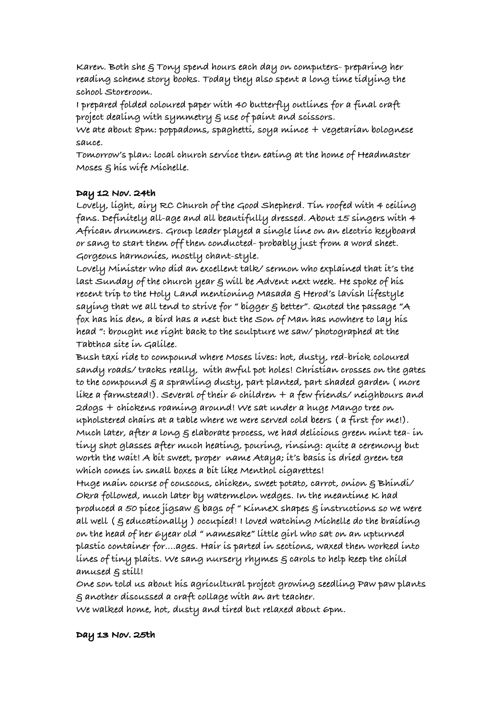**Karen. Both she & Tony spend hours each day on computers- preparing her reading scheme story books. Today they also spent a long time tidying the school Storeroom.**

**I prepared folded coloured paper with 40 butterfly outlines for a final craft project dealing with symmetry & use of paint and scissors.**

**We ate about 8pm: poppadoms, spaghetti, soya mince + vegetarian bolognese sauce.**

**Tomorrow's plan: local church service then eating at the home of Headmaster Moses & his wife Michelle.**

## **Day 12 Nov. 24th**

**Lovely, light, airy RC Church of the Good Shepherd. Tin roofed with 4 ceiling fans. Definitely all-age and all beautifully dressed. About 15 singers with 4 African drummers. Group leader played a single line on an electric keyboard or sang to start them off then conducted- probably just from a word sheet. Gorgeous harmonies, mostly chant-style.**

**Lovely Minister who did an excellent talk/ sermon who explained that it's the last Sunday of the church year & will be Advent next week. He spoke of his recent trip to the Holy Land mentioning Masada & Herod's lavish lifestyle saying that we all tend to strive for " bigger & better". Quoted the passage "A fox has his den, a bird has a nest but the Son of Man has nowhere to lay his head ": brought me right back to the sculpture we saw/ photographed at the Tabthca site in Galilee.**

**Bush taxi ride to compound where Moses lives: hot, dusty, red-brick coloured sandy roads/ tracks really, with awful pot holes! Christian crosses on the gates to the compound & a sprawling dusty, part planted, part shaded garden ( more like a farmstead!). Several of their 6 children + a few friends/ neighbours and 2dogs + chickens roaming around! We sat under a huge Mango tree on upholstered chairs at a table where we were served cold beers ( a first for me!). Much later, after a long & elaborate process, we had delicious green mint tea- in tiny shot glasses after much heating, pouring, rinsing: quite a ceremony but worth the wait! A bit sweet, proper name Ataya; it's basis is dried green tea which comes in small boxes a bit like Menthol cigarettes!**

**Huge main course of couscous, chicken, sweet potato, carrot, onion & Bhindi/ Okra followed, much later by watermelon wedges. In the meantime K had produced a 50 piece jigsaw & bags of " KinneX shapes & instructions so we were all well ( & educationally ) occupied! I loved watching Michelle do the braiding on the head of her 6year old " namesake" little girl who sat on an upturned plastic container for....ages. Hair is parted in sections, waxed then worked into lines of tiny plaits. We sang nursery rhymes & carols to help keep the child amused & still!**

**One son told us about his agricultural project growing seedling Paw paw plants & another discussed a craft collage with an art teacher.**

**We walked home, hot, dusty and tired but relaxed about 6pm.**

## **Day 13 Nov. 25th**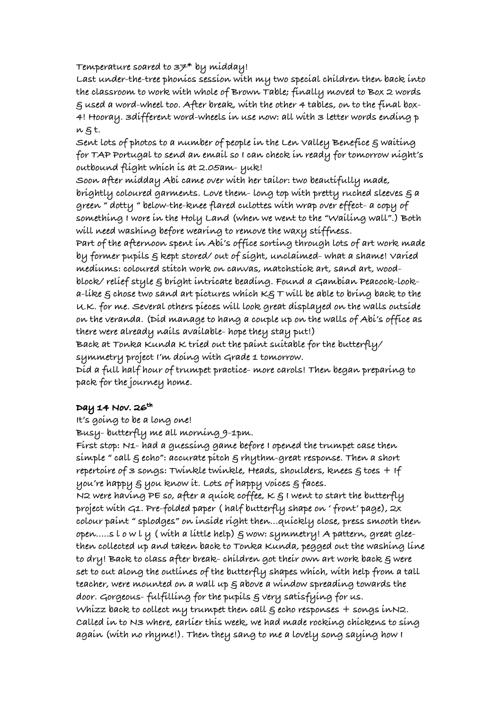**Temperature soared to 37\* by midday!**

**Last under-the-tree phonics session with my two special children then back into the classroom to work with whole of Brown Table; finally moved to Box 2 words & used a word-wheel too. After break, with the other 4 tables, on to the final box-4! Hooray. 3different word-wheels in use now: all with 3 letter words ending p n & t.**

Sent lots of photos to a number of people in the Len Valley Benefice  $\varepsilon$  waiting **for TAP Portugal to send an email so I can check in ready for tomorrow night's outbound flight which is at 2.05am- yuk!**

**Soon after midday Abi came over with her tailor: two beautifully made, brightly coloured garments. Love them- long top with pretty ruched sleeves & a green " dotty " below-the-knee flared culottes with wrap over effect- a copy of something I wore in the Holy Land (when we went to the "Wailing wall".) Both will need washing before wearing to remove the waxy stiffness.**

**Part of the afternoon spent in Abi's office sorting through lots of art work made by former pupils & kept stored/ out of sight, unclaimed- what a shame! Varied mediums: coloured stitch work on canvas, matchstick art, sand art, woodblock/ relief style & bright intricate beading. Found a Gambian Peacock-look-**

**a-like & chose two sand art pictures which K& T will be able to bring back to the U.K. for me. Several others pieces will look great displayed on the walls outside on the veranda. (Did manage to hang a couple up on the walls of Abi's office as there were already nails available- hope they stay put!)**

**Back at Tonka Kunda K tried out the paint suitable for the butterfly/ symmetry project I'm doing with Grade 1 tomorrow.**

**Did a full half hour of trumpet practice- more carols! Then began preparing to pack for the journey home.**

## **Day 14 Nov. 26th**

**It's going to be a long one!**

**Busy- butterfly me all morning 9-1pm.**

**First stop: N1- had a guessing game before I opened the trumpet case then simple " call & echo": accurate pitch & rhythm-great response. Then a short repertoire of 3 songs: Twinkle twinkle, Heads, shoulders, knees & toes + If you're happy & you know it. Lots of happy voices & faces.**

**N2 were having PE so, after a quick coffee, K & I went to start the butterfly project with G1. Pre-folded paper ( half butterfly shape on ' front' page), 2x colour paint " splodges" on inside right then...quickly close, press smooth then open.....s l o w l y ( with a little help) & wow: symmetry! A pattern, great gleethen collected up and taken back to Tonka Kunda, pegged out the washing line to dry! Back to class after break- children got their own art work back & were set to cut along the outlines of the butterfly shapes which, with help from a tall teacher, were mounted on a wall up & above a window spreading towards the door. Gorgeous- fulfilling for the pupils & very satisfying for us. Whizz back to collect my trumpet then call & echo responses + songs inN2. Called in to N3 where, earlier this week, we had made rocking chickens to sing again (with no rhyme!). Then they sang to me a lovely song saying how I**